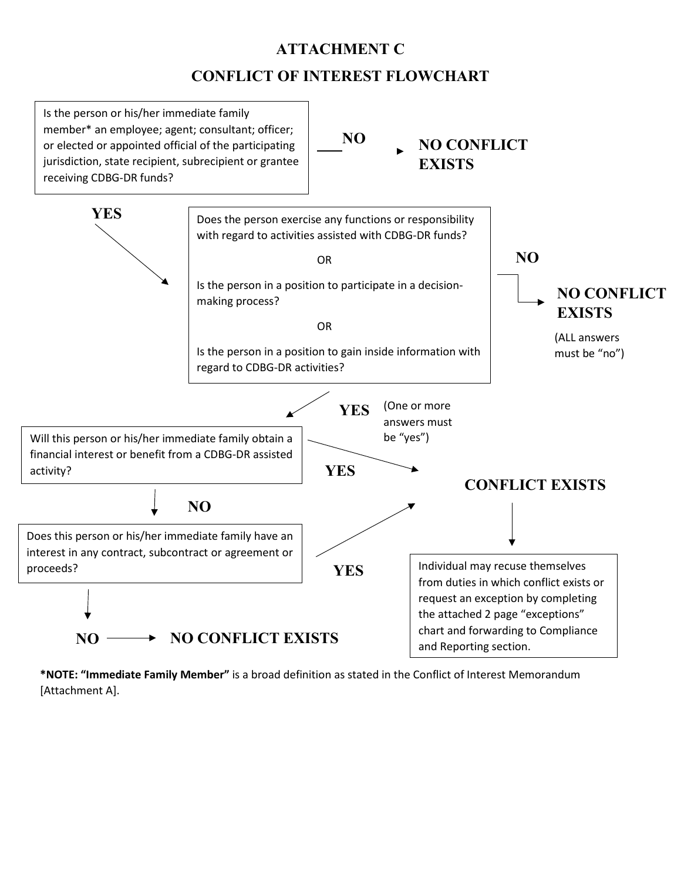## **ATTACHMENT C**

## **CONFLICT OF INTEREST FLOWCHART**



**\*NOTE: "Immediate Family Member"** is a broad definition as stated in the Conflict of Interest Memorandum [Attachment A].